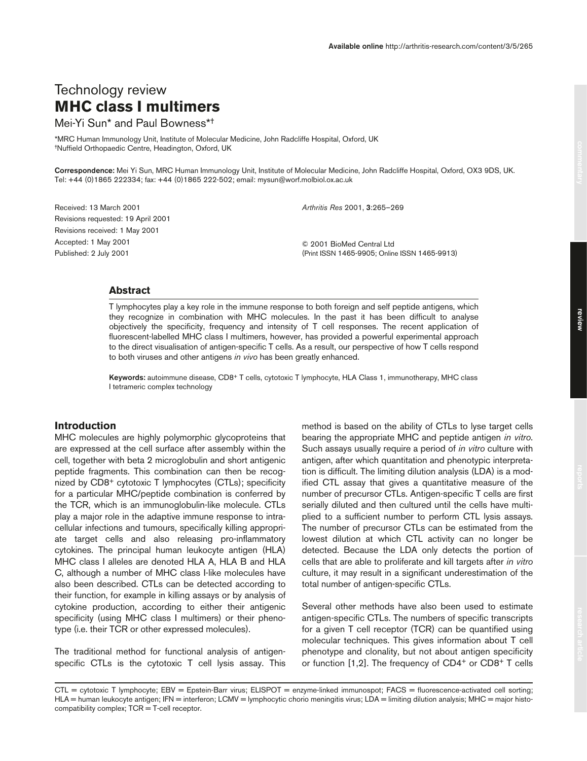# Technology review **MHC class I multimers**

Mei-Yi Sun\* and Paul Bowness\*†

\*MRC Human Immunology Unit, Institute of Molecular Medicine, John Radcliffe Hospital, Oxford, UK †Nuffield Orthopaedic Centre, Headington, Oxford, UK

**Correspondence:** Mei Yi Sun, MRC Human Immunology Unit, Institute of Molecular Medicine, John Radcliffe Hospital, Oxford, OX3 9DS, UK. Tel: +44 (0)1865 222334; fax: +44 (0)1865 222-502; email: mysun@worf.molbiol.ox.ac.uk

Received: 13 March 2001 Revisions requested: 19 April 2001 Revisions received: 1 May 2001 Accepted: 1 May 2001 Published: 2 July 2001

*Arthritis Res* 2001, **3**:265–269

© 2001 BioMed Central Ltd (Print ISSN 1465-9905; Online ISSN 1465-9913)

## **Abstract**

T lymphocytes play a key role in the immune response to both foreign and self peptide antigens, which they recognize in combination with MHC molecules. In the past it has been difficult to analyse objectively the specificity, frequency and intensity of T cell responses. The recent application of fluorescent-labelled MHC class I multimers, however, has provided a powerful experimental approach to the direct visualisation of antigen-specific T cells. As a result, our perspective of how T cells respond to both viruses and other antigens *in vivo* has been greatly enhanced.

**Keywords:** autoimmune disease, CD8+ T cells, cytotoxic T lymphocyte, HLA Class 1, immunotherapy, MHC class I tetrameric complex technology

## **Introduction**

MHC molecules are highly polymorphic glycoproteins that are expressed at the cell surface after assembly within the cell, together with beta 2 microglobulin and short antigenic peptide fragments. This combination can then be recognized by CD8+ cytotoxic T lymphocytes (CTLs); specificity for a particular MHC/peptide combination is conferred by the TCR, which is an immunoglobulin-like molecule. CTLs play a major role in the adaptive immune response to intracellular infections and tumours, specifically killing appropriate target cells and also releasing pro-inflammatory cytokines. The principal human leukocyte antigen (HLA) MHC class I alleles are denoted HLA A, HLA B and HLA C, although a number of MHC class I-like molecules have also been described. CTLs can be detected according to their function, for example in killing assays or by analysis of cytokine production, according to either their antigenic specificity (using MHC class I multimers) or their phenotype (i.e. their TCR or other expressed molecules).

The traditional method for functional analysis of antigenspecific CTLs is the cytotoxic T cell lysis assay. This method is based on the ability of CTLs to lyse target cells bearing the appropriate MHC and peptide antigen *in vitro*. Such assays usually require a period of *in vitro* culture with antigen, after which quantitation and phenotypic interpretation is difficult. The limiting dilution analysis (LDA) is a modified CTL assay that gives a quantitative measure of the number of precursor CTLs. Antigen-specific T cells are first serially diluted and then cultured until the cells have multiplied to a sufficient number to perform CTL lysis assays. The number of precursor CTLs can be estimated from the lowest dilution at which CTL activity can no longer be detected. Because the LDA only detects the portion of cells that are able to proliferate and kill targets after *in vitro* culture, it may result in a significant underestimation of the total number of antigen-specific CTLs.

Several other methods have also been used to estimate antigen-specific CTLs. The numbers of specific transcripts for a given T cell receptor (TCR) can be quantified using molecular techniques. This gives information about T cell phenotype and clonality, but not about antigen specificity or function [1,2]. The frequency of CD4<sup>+</sup> or CD8<sup>+</sup> T cells

 $CTL = cytotoxic T$  lymphocyte;  $EBV = Epstein-Barr$  virus;  $ELISPOT = enzyme-linked immunospot$ ;  $FACS = fluorescence-activated cell sorting$ ; HLA = human leukocyte antigen; IFN = interferon; LCMV = lymphocytic chorio meningitis virus; LDA = limiting dilution analysis; MHC = major histocompatibility complex; TCR = T-cell receptor.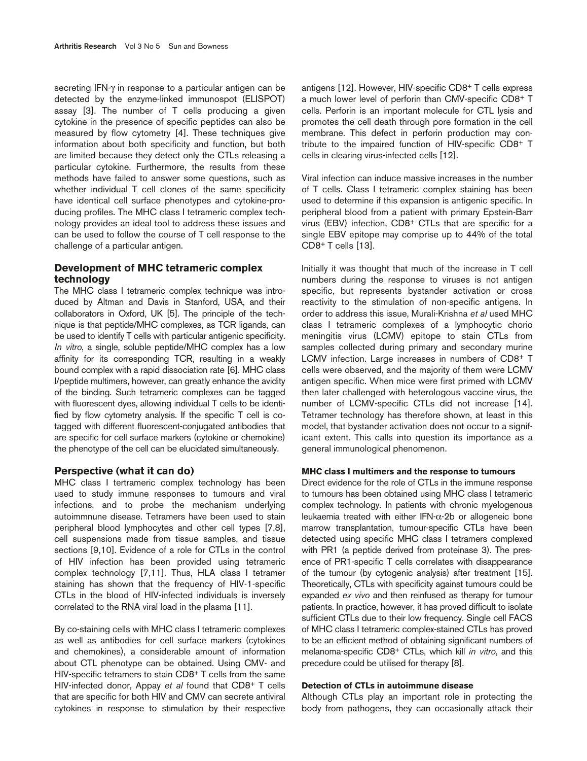secreting IFN-γ in response to a particular antigen can be detected by the enzyme-linked immunospot (ELISPOT) assay [3]. The number of T cells producing a given cytokine in the presence of specific peptides can also be measured by flow cytometry [4]. These techniques give information about both specificity and function, but both are limited because they detect only the CTLs releasing a particular cytokine. Furthermore, the results from these methods have failed to answer some questions, such as whether individual T cell clones of the same specificity have identical cell surface phenotypes and cytokine-producing profiles. The MHC class I tetrameric complex technology provides an ideal tool to address these issues and can be used to follow the course of T cell response to the challenge of a particular antigen.

# **Development of MHC tetrameric complex technology**

The MHC class I tetrameric complex technique was introduced by Altman and Davis in Stanford, USA, and their collaborators in Oxford, UK [5]. The principle of the technique is that peptide/MHC complexes, as TCR ligands, can be used to identify T cells with particular antigenic specificity. *In vitro*, a single, soluble peptide/MHC complex has a low affinity for its corresponding TCR, resulting in a weakly bound complex with a rapid dissociation rate [6]. MHC class I/peptide multimers, however, can greatly enhance the avidity of the binding. Such tetrameric complexes can be tagged with fluorescent dyes, allowing individual T cells to be identified by flow cytometry analysis. If the specific T cell is cotagged with different fluorescent-conjugated antibodies that are specific for cell surface markers (cytokine or chemokine) the phenotype of the cell can be elucidated simultaneously.

## **Perspective (what it can do)**

MHC class I tertrameric complex technology has been used to study immune responses to tumours and viral infections, and to probe the mechanism underlying autoimmnune disease. Tetramers have been used to stain peripheral blood lymphocytes and other cell types [7,8], cell suspensions made from tissue samples, and tissue sections [9,10]. Evidence of a role for CTLs in the control of HIV infection has been provided using tetrameric complex technology [7,11]. Thus, HLA class I tetramer staining has shown that the frequency of HIV-1-specific CTLs in the blood of HIV-infected individuals is inversely correlated to the RNA viral load in the plasma [11].

By co-staining cells with MHC class I tetrameric complexes as well as antibodies for cell surface markers (cytokines and chemokines), a considerable amount of information about CTL phenotype can be obtained. Using CMV- and HIV-specific tetramers to stain CD8<sup>+</sup> T cells from the same HIV-infected donor, Appay *et al* found that CD8+ T cells that are specific for both HIV and CMV can secrete antiviral cytokines in response to stimulation by their respective

antigens [12]. However, HIV-specific CD8+ T cells express a much lower level of perforin than CMV-specific CD8+ T cells. Perforin is an important molecule for CTL lysis and promotes the cell death through pore formation in the cell membrane. This defect in perforin production may contribute to the impaired function of HIV-specific CD8+ T cells in clearing virus-infected cells [12].

Viral infection can induce massive increases in the number of T cells. Class I tetrameric complex staining has been used to determine if this expansion is antigenic specific. In peripheral blood from a patient with primary Epstein-Barr virus (EBV) infection, CD8+ CTLs that are specific for a single EBV epitope may comprise up to 44% of the total CD8+ T cells [13].

Initially it was thought that much of the increase in T cell numbers during the response to viruses is not antigen specific, but represents bystander activation or cross reactivity to the stimulation of non-specific antigens. In order to address this issue, Murali-Krishna *et al* used MHC class I tetrameric complexes of a lymphocytic chorio meningitis virus (LCMV) epitope to stain CTLs from samples collected during primary and secondary murine LCMV infection. Large increases in numbers of CD8+ T cells were observed, and the majority of them were LCMV antigen specific. When mice were first primed with LCMV then later challenged with heterologous vaccine virus, the number of LCMV-specific CTLs did not increase [14]. Tetramer technology has therefore shown, at least in this model, that bystander activation does not occur to a significant extent. This calls into question its importance as a general immunological phenomenon.

## **MHC class I multimers and the response to tumours**

Direct evidence for the role of CTLs in the immune response to tumours has been obtained using MHC class I tetrameric complex technology. In patients with chronic myelogenous leukaemia treated with either IFN-α-2b or allogeneic bone marrow transplantation, tumour-specific CTLs have been detected using specific MHC class I tetramers complexed with PR1 (a peptide derived from proteinase 3). The presence of PR1-specific T cells correlates with disappearance of the tumour (by cytogenic analysis) after treatment [15]. Theoretically, CTLs with specificity against tumours could be expanded *ex vivo* and then reinfused as therapy for tumour patients. In practice, however, it has proved difficult to isolate sufficient CTLs due to their low frequency. Single cell FACS of MHC class I tetrameric complex-stained CTLs has proved to be an efficient method of obtaining significant numbers of melanoma-specific CD8+ CTLs, which kill *in vitro*, and this precedure could be utilised for therapy [8].

#### **Detection of CTLs in autoimmune disease**

Although CTLs play an important role in protecting the body from pathogens, they can occasionally attack their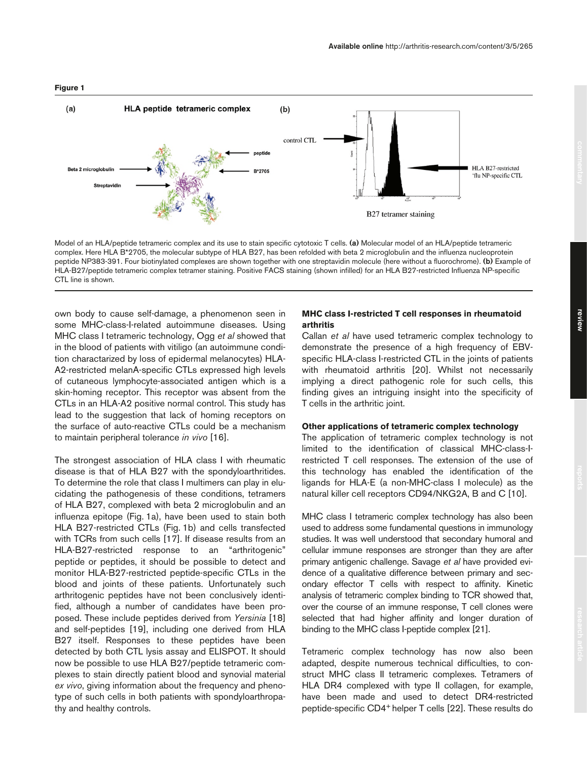

Model of an HLA/peptide tetrameric complex and its use to stain specific cytotoxic T cells. **(a)** Molecular model of an HLA/peptide tetrameric complex. Here HLA B\*2705, the molecular subtype of HLA B27, has been refolded with beta 2 microglobulin and the influenza nucleoprotein peptide NP383-391. Four biotinylated complexes are shown together with one streptavidin molecule (here without a fluorochrome). **(b)** Example of HLA-B27/peptide tetrameric complex tetramer staining. Positive FACS staining (shown infilled) for an HLA B27-restricted Influenza NP-specific CTL line is shown.

own body to cause self-damage, a phenomenon seen in some MHC-class-I-related autoimmune diseases. Using MHC class I tetrameric technology, Ogg *et al* showed that in the blood of patients with vitiligo (an autoimmune condition charactarized by loss of epidermal melanocytes) HLA-A2-restricted melanA-specific CTLs expressed high levels of cutaneous lymphocyte-associated antigen which is a skin-homing receptor. This receptor was absent from the CTLs in an HLA-A2 positive normal control. This study has lead to the suggestion that lack of homing receptors on the surface of auto-reactive CTLs could be a mechanism to maintain peripheral tolerance *in vivo* [16].

The strongest association of HLA class I with rheumatic disease is that of HLA B27 with the spondyloarthritides. To determine the role that class I multimers can play in elucidating the pathogenesis of these conditions, tetramers of HLA B27, complexed with beta 2 microglobulin and an influenza epitope (Fig. 1a), have been used to stain both HLA B27-restricted CTLs (Fig. 1b) and cells transfected with TCRs from such cells [17]. If disease results from an HLA-B27-restricted response to an "arthritogenic" peptide or peptides, it should be possible to detect and monitor HLA-B27-restricted peptide-specific CTLs in the blood and joints of these patients. Unfortunately such arthritogenic peptides have not been conclusively identified, although a number of candidates have been proposed. These include peptides derived from *Yersinia* [18] and self-peptides [19], including one derived from HLA B27 itself. Responses to these peptides have been detected by both CTL lysis assay and ELISPOT. It should now be possible to use HLA B27/peptide tetrameric complexes to stain directly patient blood and synovial material *ex vivo*, giving information about the frequency and phenotype of such cells in both patients with spondyloarthropathy and healthy controls.

## **MHC class I-restricted T cell responses in rheumatoid arthritis**

Callan *et al* have used tetrameric complex technology to demonstrate the presence of a high frequency of EBVspecific HLA-class I-restricted CTL in the joints of patients with rheumatoid arthritis [20]. Whilst not necessarily implying a direct pathogenic role for such cells, this finding gives an intriguing insight into the specificity of T cells in the arthritic joint.

#### **Other applications of tetrameric complex technology**

The application of tetrameric complex technology is not limited to the identification of classical MHC-class-Irestricted T cell responses. The extension of the use of this technology has enabled the identification of the ligands for HLA-E (a non-MHC-class I molecule) as the natural killer cell receptors CD94/NKG2A, B and C [10].

MHC class I tetrameric complex technology has also been used to address some fundamental questions in immunology studies. It was well understood that secondary humoral and cellular immune responses are stronger than they are after primary antigenic challenge. Savage *et al* have provided evidence of a qualitative difference between primary and secondary effector T cells with respect to affinity. Kinetic analysis of tetrameric complex binding to TCR showed that, over the course of an immune response, T cell clones were selected that had higher affinity and longer duration of binding to the MHC class I-peptide complex [21].

Tetrameric complex technology has now also been adapted, despite numerous technical difficulties, to construct MHC class II tetrameric complexes. Tetramers of HLA DR4 complexed with type II collagen, for example, have been made and used to detect DR4-restricted peptide-specific CD4+ helper T cells [22]. These results do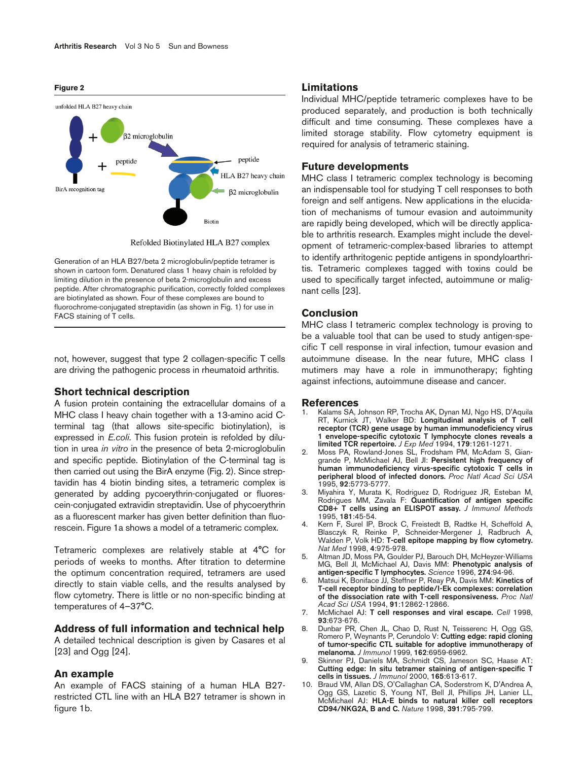**Figure 2**



Refolded Biotinylated HLA B27 complex

Generation of an HLA B27/beta 2 microglobulin/peptide tetramer is shown in cartoon form. Denatured class 1 heavy chain is refolded by limiting dilution in the presence of beta 2-microglobulin and excess peptide. After chromatographic purification, correctly folded complexes are biotinylated as shown. Four of these complexes are bound to fluorochrome-conjugated streptavidin (as shown in Fig. 1) for use in FACS staining of T cells.

not, however, suggest that type 2 collagen-specific T cells are driving the pathogenic process in rheumatoid arthritis.

#### **Short technical description**

A fusion protein containing the extracellular domains of a MHC class I heavy chain together with a 13-amino acid Cterminal tag (that allows site-specific biotinylation), is expressed in *E.coli*. This fusion protein is refolded by dilution in urea *in vitro* in the presence of beta 2-microglobulin and specific peptide. Biotinylation of the C-terminal tag is then carried out using the BirA enzyme (Fig. 2). Since streptavidin has 4 biotin binding sites, a tetrameric complex is generated by adding pycoerythrin-conjugated or fluorescein-conjugated extravidin streptavidin. Use of phycoerythrin as a fluorescent marker has given better definition than fluorescein. Figure 1a shows a model of a tetrameric complex.

Tetrameric complexes are relatively stable at 4°C for periods of weeks to months. After titration to determine the optimum concentration required, tetramers are used directly to stain viable cells, and the results analysed by flow cytometry. There is little or no non-specific binding at temperatures of 4–37°C.

#### **Address of full information and technical help**

A detailed technical description is given by Casares et al [23] and Ogg [24].

## **An example**

An example of FACS staining of a human HLA B27 restricted CTL line with an HLA B27 tetramer is shown in figure 1b.

#### **Limitations**

Individual MHC/peptide tetrameric complexes have to be produced separately, and production is both technically difficult and time consuming. These complexes have a limited storage stability. Flow cytometry equipment is required for analysis of tetrameric staining.

# **Future developments**

MHC class I tetrameric complex technology is becoming an indispensable tool for studying T cell responses to both foreign and self antigens. New applications in the elucidation of mechanisms of tumour evasion and autoimmunity are rapidly being developed, which will be directly applicable to arthritis research. Examples might include the development of tetrameric-complex-based libraries to attempt to identify arthritogenic peptide antigens in spondyloarthritis. Tetrameric complexes tagged with toxins could be used to specifically target infected, autoimmune or malignant cells [23].

# **Conclusion**

MHC class I tetrameric complex technology is proving to be a valuable tool that can be used to study antigen-specific T cell response in viral infection, tumour evasion and autoimmune disease. In the near future, MHC class I mutimers may have a role in immunotherapy; fighting against infections, autoimmune disease and cancer.

#### **References**

- Kalams SA, Johnson RP, Trocha AK, Dynan MJ, Ngo HS, D'Aquila RT, Kurnick JT, Walker BD: **Longitudinal analysis of T cell receptor (TCR) gene usage by human immunodeficiency virus 1 envelope-specific cytotoxic T lymphocyte clones reveals a limited TCR repertoire.** *J Exp Med* 1994, **179**:1261-1271.
- 2. Moss PA, Rowland-Jones SL, Frodsham PM, McAdam S, Giangrande P, McMichael AJ, Bell JI: **Persistent high frequency of human immunodeficiency virus-specific cytotoxic T cells in peripheral blood of infected donors.** *Proc Natl Acad Sci USA* 1995, **92**:5773-5777.
- 3. Miyahira Y, Murata K, Rodriguez D, Rodriguez JR, Esteban M, Rodrigues MM, Zavala F: **Quantification of antigen specific CD8+ T cells using an ELISPOT assay.** *J Immunol Methods* 1995, **181**:45-54.
- 4. Kern F, Surel IP, Brock C, Freistedt B, Radtke H, Scheffold A, Blasczyk R, Reinke P, Schneider-Mergener J, Radbruch A, Walden P, Volk HD: **T-cell epitope mapping by flow cytometry.** *Nat Med* 1998, **4**:975-978.
- 5. Altman JD, Moss PA, Goulder PJ, Barouch DH, McHeyzer-Williams MG, Bell JI, McMichael AJ, Davis MM: **Phenotypic analysis of antigen-specific T lymphocytes.** *Science* 1996, **274**:94-96.
- 6. Matsui K, Boniface JJ, Steffner P, Reay PA, Davis MM: **Kinetics of T-cell receptor binding to peptide/I-Ek complexes: correlation of the dissociation rate with T-cell responsiveness.** *Proc Natl Acad Sci USA* 1994, **91**:12862-12866.
- 7. McMichael AJ: **T cell responses and viral escape.** *Cell* 1998, **93**:673-676.
- 8. Dunbar PR, Chen JL, Chao D, Rust N, Teisserenc H, Ogg GS, Romero P, Weynants P, Cerundolo V: **Cutting edge: rapid cloning of tumor-specific CTL suitable for adoptive immunotherapy of melanoma.** *J Immunol* 1999, **162**:6959-6962.
- 9. Skinner PJ, Daniels MA, Schmidt CS, Jameson SC, Haase AT: **Cutting edge: In situ tetramer staining of antigen-specific T cells in tissues.** *J Immunol* 2000, **165**:613-617.
- 10. Braud VM, Allan DS, O'Callaghan CA, Soderstrom K, D'Andrea A, Ogg GS, Lazetic S, Young NT, Bell JI, Phillips JH, Lanier LL, McMichael AJ: **HLA-E binds to natural killer cell receptors CD94/NKG2A, B and C.** *Nature* 1998, **391**:795-799.